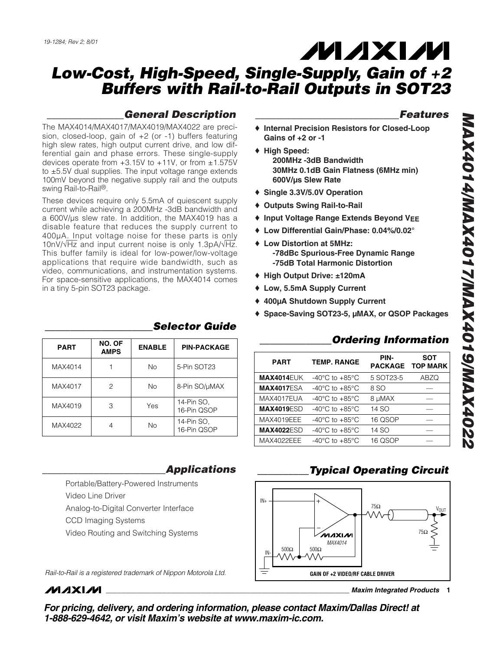## *\_\_\_\_\_\_\_\_\_\_\_\_\_\_\_General Description*

The MAX4014/MAX4017/MAX4019/MAX4022 are precision, closed-loop, gain of +2 (or -1) buffers featuring high slew rates, high output current drive, and low differential gain and phase errors. These single-supply devices operate from  $+3.15V$  to  $+11V$ , or from  $\pm 1.575V$ to ±5.5V dual supplies. The input voltage range extends 100mV beyond the negative supply rail and the outputs swing Rail-to-Rail®.

These devices require only 5.5mA of quiescent supply current while achieving a 200MHz -3dB bandwidth and a 600V/µs slew rate. In addition, the MAX4019 has a disable feature that reduces the supply current to 400µA. Input voltage noise for these parts is only 10nV/√Hz and input current noise is only 1.3pA/√Hz. This buffer family is ideal for low-power/low-voltage applications that require wide bandwidth, such as video, communications, and instrumentation systems. For space-sensitive applications, the MAX4014 comes in a tiny 5-pin SOT23 package.

| <b>PART</b> | NO. OF<br><b>AMPS</b> | <b>ENABLE</b> | <b>PIN-PACKAGE</b>        |  |
|-------------|-----------------------|---------------|---------------------------|--|
| MAX4014     |                       | No.           | 5-Pin SOT23               |  |
| MAX4017     | 2                     | No.           | 8-Pin SO/µMAX             |  |
| MAX4019     | З                     | Yes           | 14-Pin SO.<br>16-Pin QSOP |  |
| MAX4022     |                       | <b>No</b>     | 14-Pin SO,<br>16-Pin QSOP |  |

### *\_\_\_\_\_\_\_\_\_\_\_\_\_\_\_\_\_\_\_\_\_Selector Guide*

### *\_\_\_\_\_\_\_\_\_\_\_\_\_\_\_\_\_\_\_\_\_\_\_\_Applications*

Portable/Battery-Powered Instruments Video Line Driver Analog-to-Digital Converter Interface

- CCD Imaging Systems
- Video Routing and Switching Systems

*Rail-to-Rail is a registered trademark of Nippon Motorola Ltd.*

## **MAXM**

*For pricing, delivery, and ordering information, please contact Maxim/Dallas Direct! at 1-888-629-4642, or visit Maxim's website at www.maxim-ic.com.*

### *\_\_\_\_\_\_\_\_\_\_\_\_\_\_\_\_\_\_\_\_\_\_\_\_\_\_\_\_Features*

- ♦ **Internal Precision Resistors for Closed-Loop Gains of +2 or -1**
- ♦ **High Speed: 200MHz -3dB Bandwidth 30MHz 0.1dB Gain Flatness (6MHz min) 600V/µs Slew Rate**
- ♦ **Single 3.3V/5.0V Operation**
- ♦ **Outputs Swing Rail-to-Rail**
- ♦ **Input Voltage Range Extends Beyond VEE**
- ♦ **Low Differential Gain/Phase: 0.04%/0.02°**
- ♦ **Low Distortion at 5MHz: -78dBc Spurious-Free Dynamic Range -75dB Total Harmonic Distortion**
- ♦ **High Output Drive: ±120mA**
- ♦ **Low, 5.5mA Supply Current**
- ♦ **400µA Shutdown Supply Current**
- ♦ **Space-Saving SOT23-5, µMAX, or QSOP Packages**

### **Ordering Information**

| <b>PART</b>       | <b>TEMP. RANGE</b>                 | PIN-      | <b>SOT</b><br>PACKAGE TOP MARK |
|-------------------|------------------------------------|-----------|--------------------------------|
| <b>MAX4014EUK</b> | $-40^{\circ}$ C to $+85^{\circ}$ C | 5 SOT23-5 | ABZQ                           |
| <b>MAX4017ESA</b> | $-40^{\circ}$ C to $+85^{\circ}$ C | 8 SO      |                                |
| MAX4017EUA        | $-40^{\circ}$ C to $+85^{\circ}$ C | 8 µMAX    |                                |
| <b>MAX4019ESD</b> | $-40^{\circ}$ C to $+85^{\circ}$ C | 14 SO     |                                |
| MAX4019EEE        | $-40^{\circ}$ C to $+85^{\circ}$ C | 16 QSOP   |                                |
| <b>MAX4022ESD</b> | $-40^{\circ}$ C to $+85^{\circ}$ C | 14 SO     |                                |
| MAX4022EEE        | $-40^{\circ}$ C to $+85^{\circ}$ C | 16 QSOP   |                                |
|                   |                                    |           |                                |

## *\_\_\_\_\_\_\_\_\_\_Typical Operating Circuit*



*MAX4014/MAX4017/MAX4019/MAX4022* ZZOÞXVM/610ÞXVM/L10ÞXVM/Þ10ÞXVM

### **\_\_\_\_\_\_\_\_\_\_\_\_\_\_\_\_\_\_\_\_\_\_\_\_\_\_\_\_\_\_\_\_\_\_\_\_\_\_\_\_\_\_\_\_\_\_\_\_\_\_\_\_\_\_\_\_\_\_\_\_\_\_\_\_** *Maxim Integrated Products* **1**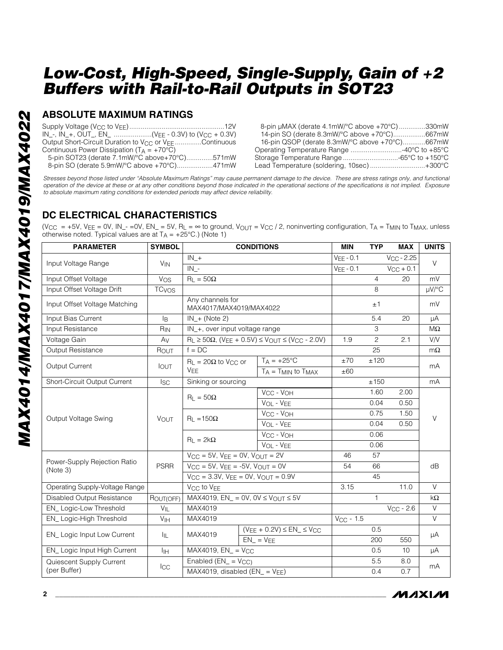### **ABSOLUTE MAXIMUM RATINGS**

| $IN_{-}$ , $IN_{+}$ , OUT_, EN_ (V <sub>EE</sub> - 0.3V) to (V <sub>CC</sub> + 0.3V) |  |
|--------------------------------------------------------------------------------------|--|
| Output Short-Circuit Duration to V <sub>CC</sub> or V <sub>EE</sub> Continuous       |  |
| Continuous Power Dissipation ( $T_A = +70^{\circ}C$ )                                |  |
| 5-pin SOT23 (derate 7.1mW/°C above+70°C)571mW                                        |  |
| 8-pin SO (derate 5.9mW/°C above +70°C)471mW                                          |  |

| 8-pin µMAX (derate 4.1mW/°C above +70°C)330mW  |  |
|------------------------------------------------|--|
| 14-pin SO (derate 8.3mW/°C above +70°C)667mW   |  |
| 16-pin QSOP (derate 8.3mW/°C above +70°C)667mW |  |
| Operating Temperature Range 40°C to +85°C      |  |
| Storage Temperature Range -65°C to +150°C      |  |
| Lead Temperature (soldering, 10sec)+300°C      |  |

*Stresses beyond those listed under "Absolute Maximum Ratings" may cause permanent damage to the device. These are stress ratings only, and functional operation of the device at these or at any other conditions beyond those indicated in the operational sections of the specifications is not implied. Exposure to absolute maximum rating conditions for extended periods may affect device reliability.*

### **DC ELECTRICAL CHARACTERISTICS**

(VCC = +5V, VEE = 0V, IN\_- = 0V, EN\_ = 5V, RL =  $\infty$  to ground, V<sub>OUT</sub> = VCC / 2, noninverting configuration, TA = TMIN to TMAX, unless otherwise noted. Typical values are at  $T_A = +25^{\circ}C$ .) (Note 1)

| <b>PARAMETER</b>                         | <b>SYMBOL</b>           | <b>CONDITIONS</b>                                  |  |                                                                   | <b>MIN</b>  | <b>TYP</b>      | <b>MAX</b>     | <b>UNITS</b> |  |
|------------------------------------------|-------------------------|----------------------------------------------------|--|-------------------------------------------------------------------|-------------|-----------------|----------------|--------------|--|
| Input Voltage Range                      | <b>V<sub>IN</sub></b>   | $IN_{-+}$                                          |  | $VEE - 0.1$                                                       |             | $V_{CC}$ - 2.25 | $\vee$         |              |  |
|                                          |                         | $IN_{-}$                                           |  |                                                                   | $VEE - 0.1$ |                 | $V_{CC}$ + 0.1 |              |  |
| Input Offset Voltage                     | Vos                     | $R_L = 50\Omega$                                   |  |                                                                   |             | $\overline{4}$  | 20             | mV           |  |
| Input Offset Voltage Drift               | <b>TC<sub>VOS</sub></b> |                                                    |  |                                                                   |             | 8               |                | $\mu V$ /°C  |  |
| Input Offset Voltage Matching            |                         | Any channels for<br>MAX4017/MAX4019/MAX4022        |  |                                                                   |             | ±1              |                | mV           |  |
| Input Bias Current                       | l <sub>R</sub>          | $IN + (Note 2)$                                    |  |                                                                   |             | 5.4             | 20             | μA           |  |
| Input Resistance                         | R <sub>IN</sub>         | IN +, over input voltage range                     |  |                                                                   |             | 3               |                | $M\Omega$    |  |
| Voltage Gain                             | Av                      |                                                    |  | $R_L \ge 50\Omega$ , (VEE + 0.5V) $\leq$ VOUT $\leq$ (VCC - 2.0V) | 1.9         | $\overline{2}$  | 2.1            | V/V          |  |
| <b>Output Resistance</b>                 | ROUT                    | $f = DC$                                           |  |                                                                   |             | 25              |                | $m\Omega$    |  |
| Output Current                           |                         | $R_{L} = 20\Omega$ to V <sub>CC</sub> or           |  | $T_A = +25$ °C                                                    | ±70         | ±120            |                |              |  |
|                                          | <b>IOUT</b>             | <b>V<sub>FF</sub></b>                              |  | $T_A = T_{MIN}$ to $T_{MAX}$                                      | ±60         |                 |                | mA           |  |
| Short-Circuit Output Current             | $_{\rm lsc}$            | Sinking or sourcing                                |  |                                                                   |             | ±150            |                | mA           |  |
|                                          | <b>VOUT</b>             | $R_1 = 50\Omega$                                   |  | VCC - VOH                                                         |             | 1.60            | 2.00           |              |  |
|                                          |                         |                                                    |  | VOL - VEE                                                         |             | 0.04            | 0.50           |              |  |
| Output Voltage Swing                     |                         | $R_L = 150\Omega$                                  |  | V <sub>C</sub> - V <sub>OH</sub>                                  |             | 0.75            | 1.50           | V            |  |
|                                          |                         |                                                    |  | VOL - VEE                                                         |             | 0.04            | 0.50           |              |  |
|                                          |                         | $R_L = 2k\Omega$                                   |  | VCC - VOH                                                         |             | 0.06            |                |              |  |
|                                          |                         |                                                    |  | VOL - VEE                                                         |             | 0.06            |                |              |  |
|                                          |                         | $V_{CC} = 5V$ , $V_{EE} = 0V$ , $V_{OUT} = 2V$     |  | 46                                                                | 57          |                 |                |              |  |
| Power-Supply Rejection Ratio<br>(Note 3) | <b>PSRR</b>             | $V_{CC} = 5V$ , $V_{EE} = -5V$ , $V_{OUT} = 0V$    |  |                                                                   | 54          | 66              |                | dB           |  |
|                                          |                         | $V_{CC} = 3.3V$ , $V_{EE} = 0V$ , $V_{OUT} = 0.9V$ |  |                                                                   |             | 45              |                |              |  |
| Operating Supply-Voltage Range           |                         | V <sub>CC</sub> to V <sub>EE</sub>                 |  |                                                                   | 3.15        |                 | 11.0           | $\vee$       |  |
| Disabled Output Resistance               | ROUT(OFF)               | MAX4019, $EN_$ = 0V, $OV \leq V_{OUT} \leq 5V$     |  |                                                                   | 1           |                 | $k\Omega$      |              |  |
| EN_Logic-Low Threshold                   | $V_{IL}$                | MAX4019                                            |  |                                                                   |             | $V_{CC}$ - 2.6  | $\vee$         |              |  |
| EN_Logic-High Threshold                  | V <sub>IH</sub>         | MAX4019                                            |  | $V_{CC}$ - 1.5                                                    |             |                 | $\vee$         |              |  |
| EN_ Logic Input Low Current              |                         | MAX4019<br>$EN_{-} = VEE$                          |  | $(V_{EE} + 0.2V) \leq EN_{-} \leq V_{CC}$                         |             | 0.5             |                | μA           |  |
|                                          | IIL.                    |                                                    |  |                                                                   |             | 200             | 550            |              |  |
| EN_ Logic Input High Current             | lιн                     | $MAX4019$ , $EN_ = VCC$                            |  |                                                                   |             | 0.5             | 10             | μA           |  |
| Quiescent Supply Current                 | $_{\rm{ICC}}$           | Enabled $(EN_ = V_{CC})$                           |  |                                                                   | 5.5         | 8.0             | mA             |              |  |
| (per Buffer)                             |                         | MAX4019, disabled $(EN_{-} = V_{EE})$              |  |                                                                   |             | 0.4             | 0.7            |              |  |

MAXIM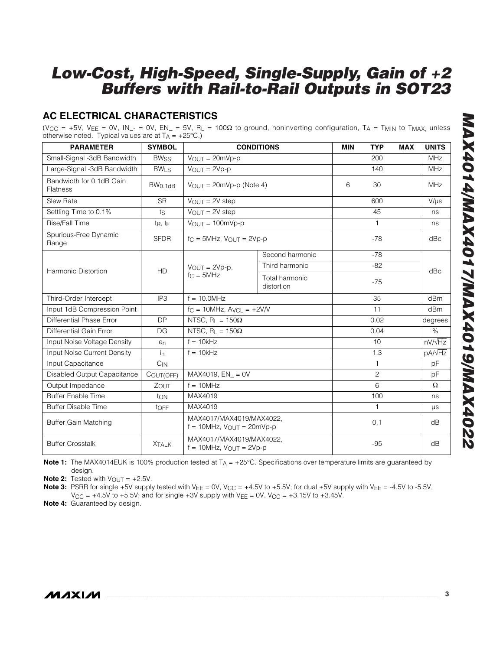## **AC ELECTRICAL CHARACTERISTICS**

(VCC = +5V, VEE = 0V, IN\_- = 0V, EN\_ = 5V, RL = 100 $\Omega$  to ground, noninverting configuration, TA = T<sub>MIN</sub> to T<sub>MAX,</sub> unless otherwise noted. Typical values are at  $T_A = +25^{\circ}C$ .)

| <b>PARAMETER</b>                                       | <b>SYMBOL</b>       | <b>CONDITIONS</b>                                              |                 |       | <b>TYP</b>     | <b>MAX</b> | <b>UNITS</b>       |  |
|--------------------------------------------------------|---------------------|----------------------------------------------------------------|-----------------|-------|----------------|------------|--------------------|--|
| Small-Signal -3dB Bandwidth                            | <b>BWss</b>         | $V_{OUT} = 20mVp-p$                                            |                 |       | 200            |            | <b>MHz</b>         |  |
| Large-Signal -3dB Bandwidth                            | <b>BWLS</b>         | $V$ OUT = $2Vp-p$                                              |                 |       | 140            |            | <b>MHz</b>         |  |
| Bandwidth for 0.1dB Gain<br>Flatness                   | BW <sub>0.1dB</sub> | $VOUT = 20mVp-p (Note 4)$                                      |                 | 6     | 30             |            | <b>MHz</b>         |  |
| Slew Rate                                              | <b>SR</b>           | $V_{OUT} = 2V$ step                                            |                 |       | 600            |            | $V/\mu s$          |  |
| Settling Time to 0.1%                                  | ts                  | $V_{OUT} = 2V$ step                                            |                 |       | 45             |            | ns                 |  |
| Rise/Fall Time                                         | $t_R$ , $t_F$       | $V_{\text{OUT}} = 100 \text{mVp-p}$                            |                 |       | 1              |            | ns                 |  |
| Spurious-Free Dynamic<br>Range                         | <b>SFDR</b>         | $f_C = 5MHz$ , $V_{OU}T = 2Vp-p$                               |                 |       | $-78$          |            | dBc                |  |
|                                                        |                     |                                                                | Second harmonic |       | $-78$          |            |                    |  |
|                                                        |                     | $V_{OUT} = 2Vp-p,$                                             | Third harmonic  |       | $-82$          |            |                    |  |
| <b>HD</b><br><b>Harmonic Distortion</b><br>$fc = 5MHz$ |                     | Total harmonic<br>distortion                                   |                 | $-75$ |                | dBc        |                    |  |
| Third-Order Intercept                                  | IP <sub>3</sub>     | $f = 10.0 MHz$                                                 |                 |       | 35             |            | dBm                |  |
| Input 1dB Compression Point                            |                     | $f_C = 10 MHz$ , $A_VCL = +2V/V$                               |                 |       | 11             |            | dB <sub>m</sub>    |  |
| Differential Phase Error                               | <b>DP</b>           | NTSC, R <sub>1</sub> = $150\Omega$                             |                 |       | 0.02           |            | degrees            |  |
| Differential Gain Error                                | DG                  | NTSC, $R_L = 150\Omega$                                        |                 |       | 0.04           |            | $\%$               |  |
| Input Noise Voltage Density                            | e <sub>n</sub>      | $f = 10kHz$                                                    |                 |       | 10             |            | $nV/\sqrt{Hz}$     |  |
| Input Noise Current Density                            | $i_{n}$             | $f = 10kHz$                                                    |                 |       | 1.3            |            | pA/ <sub>VHz</sub> |  |
| Input Capacitance                                      | $C_{IN}$            |                                                                |                 |       | 1              |            | pF                 |  |
| Disabled Output Capacitance                            | COUT(OFF)           | $MAX4019$ . $EN = 0V$                                          |                 |       | $\overline{c}$ |            | pF                 |  |
| Output Impedance                                       | ZOUT                | $f = 10MHz$                                                    |                 |       | 6              |            | $\Omega$           |  |
| <b>Buffer Enable Time</b>                              | ton                 | MAX4019                                                        |                 |       | 100            |            | ns                 |  |
| <b>Buffer Disable Time</b>                             | tOFF                | MAX4019                                                        |                 |       | $\mathbf{1}$   |            | μs                 |  |
| <b>Buffer Gain Matching</b>                            |                     | MAX4017/MAX4019/MAX4022.<br>$f = 10$ MHz, $V_{OUT} = 20$ mVp-p |                 |       | 0.1            |            | dB                 |  |
| <b>Buffer Crosstalk</b>                                | <b>XTALK</b>        | MAX4017/MAX4019/MAX4022,<br>$f = 10$ MHz, $V_{OUT} = 2Vp-p$    |                 |       | $-95$          |            | dB                 |  |

**Note 1:** The MAX4014EUK is 100% production tested at T<sub>A</sub> = +25°C. Specifications over temperature limits are guaranteed by design.

**Note 2:** Tested with  $V_{\text{OUT}} = +2.5V$ .

**Note 3:** PSRR for single +5V supply tested with V<sub>EE</sub> = 0V, V<sub>CC</sub> = +4.5V to +5.5V; for dual ±5V supply with V<sub>EE</sub> = -4.5V to -5.5V,  $V_{\text{CC}} = +4.5V$  to +5.5V; and for single +3V supply with  $V_{\text{EE}} = 0V$ ,  $V_{\text{CC}} = +3.15V$  to +3.45V.

**Note 4:** Guaranteed by design.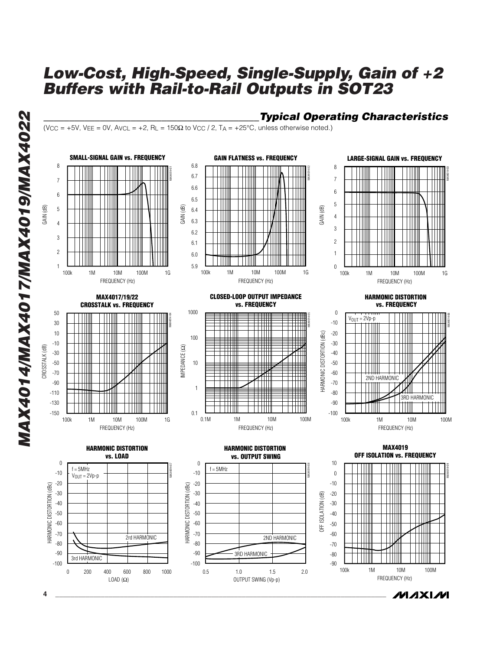*\_\_\_\_\_\_\_\_\_\_\_\_\_\_\_\_\_\_\_\_\_\_\_\_\_\_\_\_\_\_\_\_\_\_\_\_\_\_\_\_\_\_Typical Operating Characteristics*

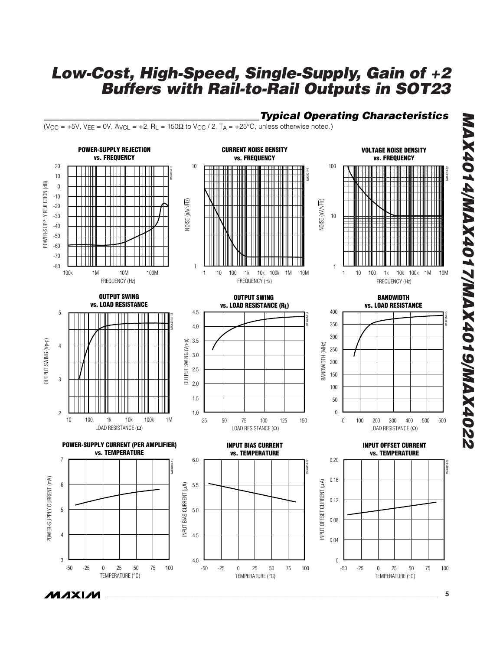### *\_\_\_\_\_\_\_\_\_\_\_\_\_\_\_\_\_\_\_\_\_\_\_\_\_\_\_\_\_\_\_\_\_\_\_\_\_\_\_\_\_\_Typical Operating Characteristics*

(V<sub>CC</sub> = +5V, V<sub>EE</sub> = 0V, A<sub>VCL</sub> = +2, R<sub>L</sub> = 150 $\Omega$  to V<sub>CC</sub> / 2, T<sub>A</sub> = +25°C, unless otherwise noted.)



 $\boldsymbol{\mathcal{W}}$ axi $\boldsymbol{\mathcal{W}}$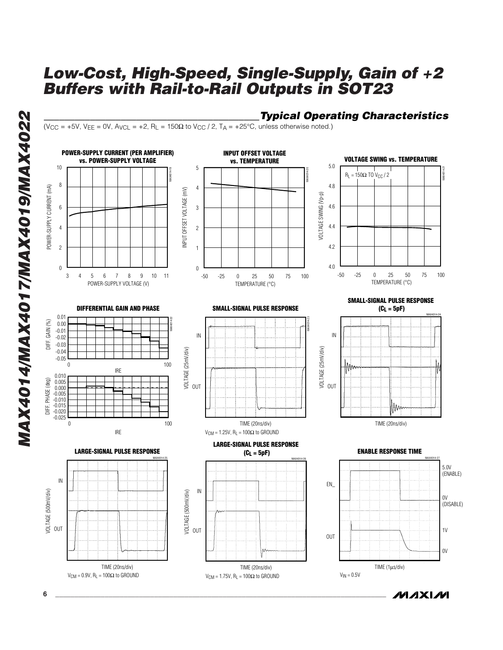*\_\_\_\_\_\_\_\_\_\_\_\_\_\_\_\_\_\_\_\_\_\_\_\_\_\_\_\_\_\_\_\_\_\_\_\_\_\_\_\_\_\_Typical Operating Characteristics*

(V<sub>CC</sub> = +5V, V<sub>EE</sub> = 0V, A<sub>VCL</sub> = +2, R<sub>L</sub> = 150 $\Omega$  to V<sub>CC</sub> / 2, T<sub>A</sub> = +25°C, unless otherwise noted.)



MAX4014/MAX4017/MAX4019/MAX4022 *MAX4014/MAX4017/MAX4019/MAX4022*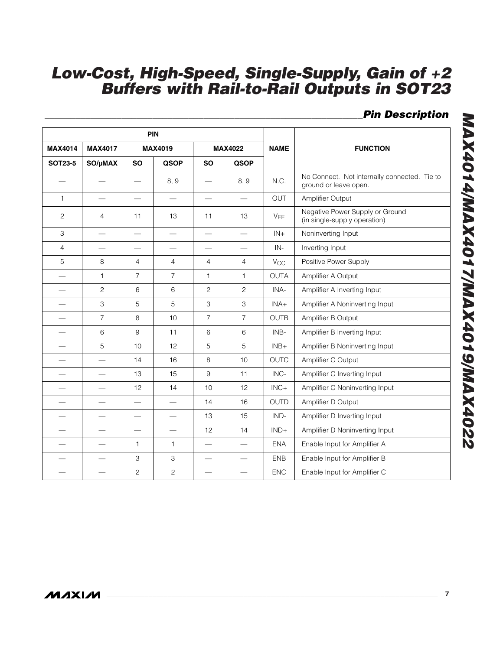## *\_\_\_\_\_\_\_\_\_\_\_\_\_\_\_\_\_\_\_\_\_\_\_\_\_\_\_\_\_\_\_\_\_\_\_\_\_\_\_\_\_\_\_\_\_\_\_\_\_\_\_\_\_\_\_\_\_\_\_\_\_\_Pin Description*

| <b>PIN</b>               |                          |                          |                          |                          |                          |                       |                                                                       |  |  |  |
|--------------------------|--------------------------|--------------------------|--------------------------|--------------------------|--------------------------|-----------------------|-----------------------------------------------------------------------|--|--|--|
| <b>MAX4014</b>           | <b>MAX4017</b>           |                          | <b>MAX4019</b>           | <b>MAX4022</b>           |                          | <b>NAME</b>           | <b>FUNCTION</b>                                                       |  |  |  |
| <b>SOT23-5</b>           | SO/µMAX                  | <b>SO</b>                | <b>QSOP</b>              | <b>SO</b>                | <b>QSOP</b>              |                       |                                                                       |  |  |  |
|                          |                          |                          | 8, 9                     |                          | 8, 9                     | N.C.                  | No Connect. Not internally connected. Tie to<br>ground or leave open. |  |  |  |
| 1                        | $\overline{\phantom{0}}$ | $\qquad \qquad =$        | $\qquad \qquad$          | $\qquad \qquad$          | $\overline{\phantom{0}}$ | OUT                   | Amplifier Output                                                      |  |  |  |
| $\overline{c}$           | $\overline{4}$           | 11                       | 13                       | 11                       | 13                       | <b>V<sub>EE</sub></b> | Negative Power Supply or Ground<br>(in single-supply operation)       |  |  |  |
| 3                        |                          |                          | $\overline{\phantom{0}}$ | $\overline{\phantom{0}}$ | $\qquad \qquad =$        | $IN+$                 | Noninverting Input                                                    |  |  |  |
| $\overline{4}$           |                          |                          |                          |                          |                          | $IN -$                | Inverting Input                                                       |  |  |  |
| 5                        | 8                        | $\overline{4}$           | $\overline{4}$           | 4                        | $\overline{4}$           | <b>V<sub>CC</sub></b> | Positive Power Supply                                                 |  |  |  |
|                          | $\mathbf{1}$             | $\overline{7}$           | $\overline{7}$           | $\mathbf{1}$             | $\mathbf{1}$             | <b>OUTA</b>           | Amplifier A Output                                                    |  |  |  |
| $\overline{\phantom{0}}$ | $\overline{c}$           | 6                        | 6                        | $\mathbf{2}$             | $\overline{c}$           | INA-                  | Amplifier A Inverting Input                                           |  |  |  |
|                          | 3                        | 5                        | 5                        | 3                        | 3                        | $INA+$                | Amplifier A Noninverting Input                                        |  |  |  |
|                          | $\overline{7}$           | 8                        | 10                       | $\overline{7}$           | $\overline{7}$           | <b>OUTB</b>           | Amplifier B Output                                                    |  |  |  |
|                          | 6                        | 9                        | 11                       | 6                        | $\,6$                    | INB-                  | Amplifier B Inverting Input                                           |  |  |  |
|                          | 5                        | 10                       | 12                       | 5                        | $\sqrt{5}$               | $INB+$                | Amplifier B Noninverting Input                                        |  |  |  |
|                          |                          | 14                       | 16                       | 8                        | 10                       | <b>OUTC</b>           | Amplifier C Output                                                    |  |  |  |
|                          |                          | 13                       | 15                       | 9                        | 11                       | INC-                  | Amplifier C Inverting Input                                           |  |  |  |
|                          |                          | 12                       | 14                       | 10                       | 12                       | $INC +$               | Amplifier C Noninverting Input                                        |  |  |  |
|                          |                          | $\overline{\phantom{0}}$ |                          | 14                       | 16                       | <b>OUTD</b>           | Amplifier D Output                                                    |  |  |  |
|                          |                          | $\overline{\phantom{0}}$ | $\overline{\phantom{0}}$ | 13                       | 15                       | IND-                  | Amplifier D Inverting Input                                           |  |  |  |
|                          |                          |                          | $\overline{\phantom{0}}$ | 12                       | 14                       | $IND+$                | Amplifier D Noninverting Input                                        |  |  |  |
|                          |                          | 1                        | $\mathbf{1}$             |                          |                          | <b>ENA</b>            | Enable Input for Amplifier A                                          |  |  |  |
|                          |                          | 3                        | 3                        |                          |                          | <b>ENB</b>            | Enable Input for Amplifier B                                          |  |  |  |
|                          |                          | $\overline{c}$           | $\overline{c}$           |                          |                          | <b>ENC</b>            | Enable Input for Amplifier C                                          |  |  |  |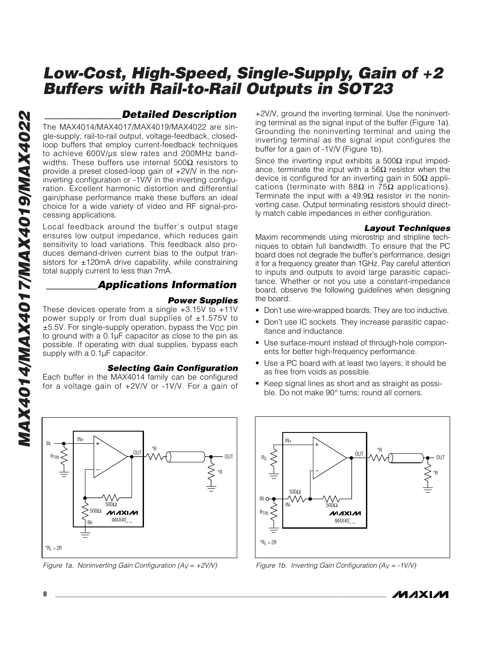## *\_\_\_\_\_\_\_\_\_\_\_\_\_\_\_Detailed Description*

The MAX4014/MAX4017/MAX4019/MAX4022 are single-supply, rail-to-rail output, voltage-feedback, closedloop buffers that employ current-feedback techniques to achieve 600V/µs slew rates and 200MHz bandwidths. These buffers use internal 500 $\Omega$  resistors to provide a preset closed-loop gain of +2V/V in the noninverting configuration or -1V/V in the inverting configuration. Excellent harmonic distortion and differential gain/phase performance make these buffers an ideal choice for a wide variety of video and RF signal-processing applications.

Local feedback around the buffer's output stage ensures low output impedance, which reduces gain sensitivity to load variations. This feedback also produces demand-driven current bias to the output transistors for  $\pm$ 120mA drive capability, while constraining total supply current to less than 7mA.

### *\_\_\_\_\_\_\_\_\_\_Applications Information*

#### *Power Supplies*

These devices operate from a single +3.15V to +11V power supply or from dual supplies of  $\pm 1.575V$  to  $±5.5V$ . For single-supply operation, bypass the V $cc$  pin to ground with a 0.1µF capacitor as close to the pin as possible. If operating with dual supplies, bypass each supply with a 0.1µF capacitor.

### *Selecting Gain Configuration*

Each buffer in the MAX4014 family can be configured for a voltage gain of +2V/V or -1V/V. For a gain of

IN+ IN OUT  $R_{\text{TIN}}$ **OUT** \*R .<br>500∩ 500Ω **MAXM** *MAX40\_ \_* IN-

+2V/V, ground the inverting terminal. Use the noninverting terminal as the signal input of the buffer (Figure 1a). Grounding the noninverting terminal and using the inverting terminal as the signal input configures the buffer for a gain of -1V/V (Figure 1b).

Since the inverting input exhibits a  $500\Omega$  input impedance, terminate the input with a  $56Ω$  resistor when the device is configured for an inverting gain in 50 $\Omega$  applications (terminate with 88 $\Omega$  in 75 $\Omega$  applications). Terminate the input with a 49.9 $\Omega$  resistor in the noninverting case. Output terminating resistors should directly match cable impedances in either configuration.

#### *Layout Techniques*

Maxim recommends using microstrip and stripline techniques to obtain full bandwidth. To ensure that the PC board does not degrade the buffer's performance, design it for a frequency greater than 1GHz. Pay careful attention to inputs and outputs to avoid large parasitic capacitance. Whether or not you use a constant-impedance board, observe the following guidelines when designing the board:

- Don't use wire-wrapped boards. They are too inductive.
- Don't use IC sockets. They increase parasitic capacitance and inductance.
- Use surface-mount instead of through-hole components for better high-frequency performance.
- Use a PC board with at least two layers; it should be as free from voids as possible.
- Keep signal lines as short and as straight as possible. Do not make 90° turns; round all corners.



*Figure 1a. Noninverting Gain Configuration (AV = +2V/V) Figure 1b. Inverting Gain Configuration (AV = -1V/V)*



 $R_L = 2R$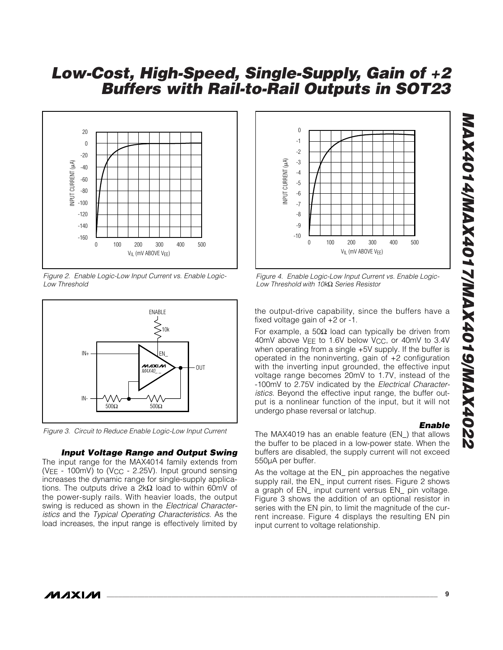

*Figure 2. Enable Logic-Low Input Current vs. Enable Logic-Low Threshold*



*Figure 3. Circuit to Reduce Enable Logic-Low Input Current*

#### *Input Voltage Range and Output Swing*

The input range for the MAX4014 family extends from ( $VEE - 100$ mV) to ( $VCC - 2.25V$ ). Input ground sensing increases the dynamic range for single-supply applications. The outputs drive a 2kΩ load to within 60mV of the power-suply rails. With heavier loads, the output swing is reduced as shown in the *Electrical Characteristics* and the *Typical Operating Characteristics*. As the load increases, the input range is effectively limited by



*Figure 4. Enable Logic-Low Input Current vs. Enable Logic-Low Threshold with 10k*Ω *Series Resistor*

the output-drive capability, since the buffers have a fixed voltage gain of +2 or -1.

For example, a 50Ω load can typically be driven from 40mV above VFF to 1.6V below VCC, or 40mV to 3.4V when operating from a single +5V supply. If the buffer is operated in the noninverting, gain of +2 configuration with the inverting input grounded, the effective input voltage range becomes 20mV to 1.7V, instead of the -100mV to 2.75V indicated by the *Electrical Characteristics*. Beyond the effective input range, the buffer output is a nonlinear function of the input, but it will not undergo phase reversal or latchup.

#### *Enable*

The MAX4019 has an enable feature (EN\_) that allows the buffer to be placed in a low-power state. When the buffers are disabled, the supply current will not exceed 550µA per buffer.

As the voltage at the EN\_ pin approaches the negative supply rail, the EN\_ input current rises. Figure 2 shows a graph of EN\_ input current versus EN\_ pin voltage. Figure 3 shows the addition of an optional resistor in series with the EN pin, to limit the magnitude of the current increase. Figure 4 displays the resulting EN pin input current to voltage relationship.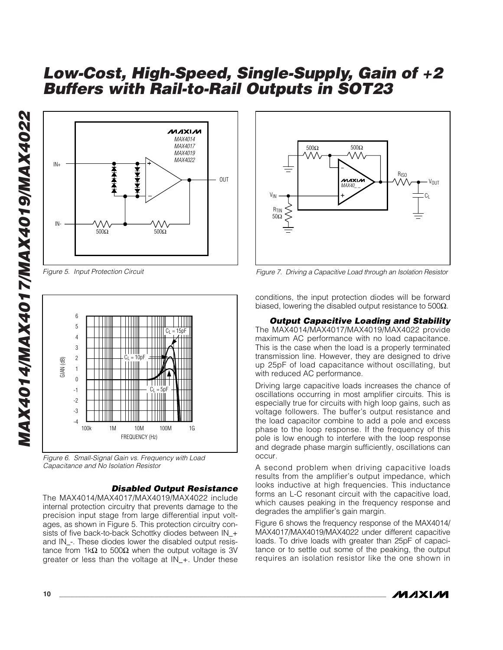

*Figure 5. Input Protection Circuit*



*Figure 6. Small-Signal Gain vs. Frequency with Load Capacitance and No Isolation Resistor*

#### *Disabled Output Resistance*

The MAX4014/MAX4017/MAX4019/MAX4022 include internal protection circuitry that prevents damage to the precision input stage from large differential input voltages, as shown in Figure 5. This protection circuitry consists of five back-to-back Schottky diodes between IN\_+ and IN\_-. These diodes lower the disabled output resistance from 1kΩ to 500Ω when the output voltage is 3V greater or less than the voltage at IN\_+. Under these



*Figure 7. Driving a Capacitive Load through an Isolation Resistor*

conditions, the input protection diodes will be forward biased, lowering the disabled output resistance to 500 $\Omega$ .

### *Output Capacitive Loading and Stability*

The MAX4014/MAX4017/MAX4019/MAX4022 provide maximum AC performance with no load capacitance. This is the case when the load is a properly terminated transmission line. However, they are designed to drive up 25pF of load capacitance without oscillating, but with reduced AC performance.

Driving large capacitive loads increases the chance of oscillations occurring in most amplifier circuits. This is especially true for circuits with high loop gains, such as voltage followers. The buffer's output resistance and the load capacitor combine to add a pole and excess phase to the loop response. If the frequency of this pole is low enough to interfere with the loop response and degrade phase margin sufficiently, oscillations can occur.

A second problem when driving capacitive loads results from the amplifier's output impedance, which looks inductive at high frequencies. This inductance forms an L-C resonant circuit with the capacitive load, which causes peaking in the frequency response and degrades the amplifier's gain margin.

Figure 6 shows the frequency response of the MAX4014/ MAX4017/MAX4019/MAX4022 under different capacitive loads. To drive loads with greater than 25pF of capacitance or to settle out some of the peaking, the output requires an isolation resistor like the one shown in

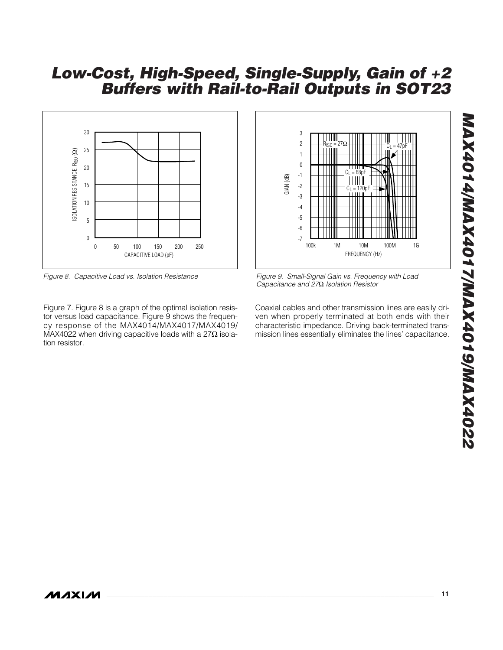

*Figure 8. Capacitive Load vs. Isolation Resistance*

Figure 7. Figure 8 is a graph of the optimal isolation resistor versus load capacitance. Figure 9 shows the frequency response of the MAX4014/MAX4017/MAX4019/ MAX4022 when driving capacitive loads with a 27 $\Omega$  isolation resistor.



*Figure 9. Small-Signal Gain vs. Frequency with Load Capacitance and 27*Ω *Isolation Resistor*

Coaxial cables and other transmission lines are easily driven when properly terminated at both ends with their characteristic impedance. Driving back-terminated transmission lines essentially eliminates the lines' capacitance.